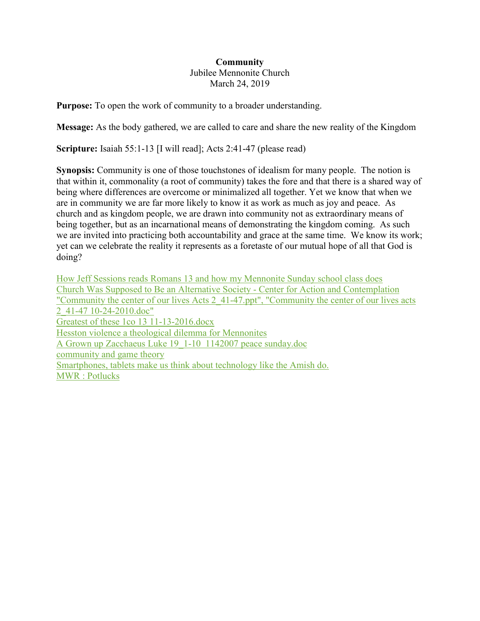## **Community** Jubilee Mennonite Church March 24, 2019

**Purpose:** To open the work of community to a broader understanding.

**Message:** As the body gathered, we are called to care and share the new reality of the Kingdom

**Scripture:** Isaiah 55:1-13 [I will read]; Acts 2:41-47 (please read)

**Synopsis:** Community is one of those touchstones of idealism for many people. The notion is that within it, commonality (a root of community) takes the fore and that there is a shared way of being where differences are overcome or minimalized all together. Yet we know that when we are in community we are far more likely to know it as work as much as joy and peace. As church and as kingdom people, we are drawn into community not as extraordinary means of being together, but as an incarnational means of demonstrating the kingdom coming. As such we are invited into practicing both accountability and grace at the same time. We know its work; yet can we celebrate the reality it represents as a foretaste of our mutual hope of all that God is doing?

[How Jeff Sessions reads Romans 13 and how my Mennonite Sunday school class does](https://www.evernote.com/shard/s249/nl/31369896/18243ce5-92c1-43df-bc22-485098f71101) [Church Was Supposed to Be an Alternative Society -](https://www.evernote.com/shard/s249/nl/31369896/78358d8d-67f6-438b-b043-59af0bddf21f) Center for Action and Contemplation ["Community the center of our lives Acts 2\\_41-47.ppt", "Community the center of our lives acts](https://www.evernote.com/shard/s249/nl/31369896/503c2a78-cfab-4c40-9c77-31ad49c4710b)  [2\\_41-47 10-24-2010.doc"](https://www.evernote.com/shard/s249/nl/31369896/503c2a78-cfab-4c40-9c77-31ad49c4710b) [Greatest of these 1co 13 11-13-2016.docx](https://www.evernote.com/shard/s249/nl/31369896/b06c42b1-6873-429e-b15b-7acffc551033) [Hesston violence a theological dilemma for Mennonites](https://www.evernote.com/shard/s249/nl/31369896/abe9ee5a-beac-4d58-b2e4-66cd90cf2765) [A Grown up Zacchaeus Luke 19\\_1-10](https://www.evernote.com/shard/s249/nl/31369896/65f4563b-83aa-4894-85d3-4a04695574eb) 1142007 peace sunday.doc [community and game theory](https://www.evernote.com/shard/s249/nl/31369896/f9b93e21-8de9-4404-9379-75a245e4fbf9) [Smartphones, tablets make us think about technology like the Amish do.](https://www.evernote.com/shard/s249/nl/31369896/f3904f57-ffce-43bc-8512-5eec78e2b781) [MWR : Potlucks](https://www.evernote.com/shard/s249/nl/31369896/d5a7428a-e600-4846-a673-cc5d505bf912)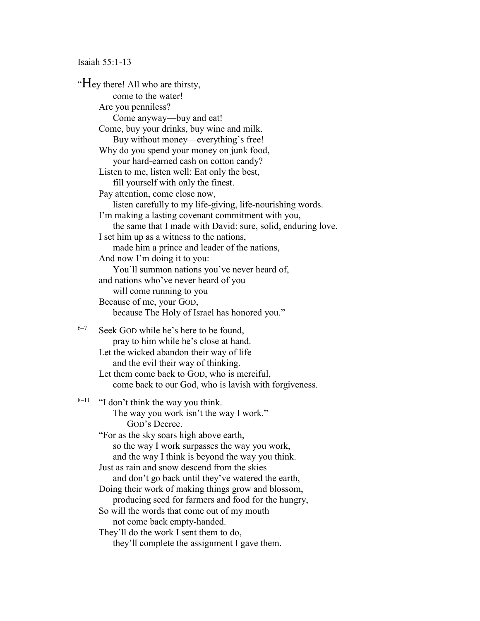## Isaiah 55:1-13

"Hey there! All who are thirsty, come to the water! Are you penniless? Come anyway—buy and eat! Come, buy your drinks, buy wine and milk. Buy without money—everything's free! Why do you spend your money on junk food, your hard-earned cash on cotton candy? Listen to me, listen well: Eat only the best, fill yourself with only the finest. Pay attention, come close now, listen carefully to my life-giving, life-nourishing words. I'm making a lasting covenant commitment with you, the same that I made with David: sure, solid, enduring love. I set him up as a witness to the nations, made him a prince and leader of the nations, And now I'm doing it to you: You'll summon nations you've never heard of, and nations who've never heard of you will come running to you Because of me, your GOD, because The Holy of Israel has honored you."  $6-7$  Seek GOD while he's here to be found. pray to him while he's close at hand. Let the wicked abandon their way of life and the evil their way of thinking. Let them come back to GOD, who is merciful, come back to our God, who is lavish with forgiveness.  $8-11$  "I don't think the way you think. The way you work isn't the way I work." GOD's Decree. "For as the sky soars high above earth, so the way I work surpasses the way you work, and the way I think is beyond the way you think. Just as rain and snow descend from the skies and don't go back until they've watered the earth, Doing their work of making things grow and blossom, producing seed for farmers and food for the hungry, So will the words that come out of my mouth not come back empty-handed. They'll do the work I sent them to do, they'll complete the assignment I gave them.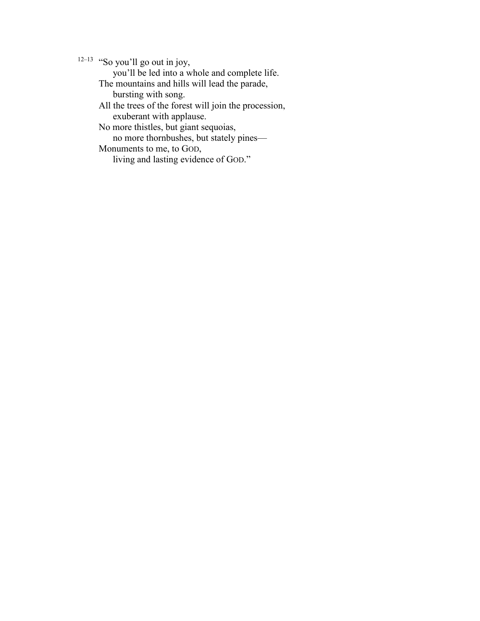$12-13$  "So you'll go out in joy,

you'll be led into a whole and complete life.

The mountains and hills will lead the parade,

bursting with song.

All the trees of the forest will join the procession, exuberant with applause.

No more thistles, but giant sequoias,

no more thornbushes, but stately pines—

Monuments to me, to GOD,

living and lasting evidence of GOD."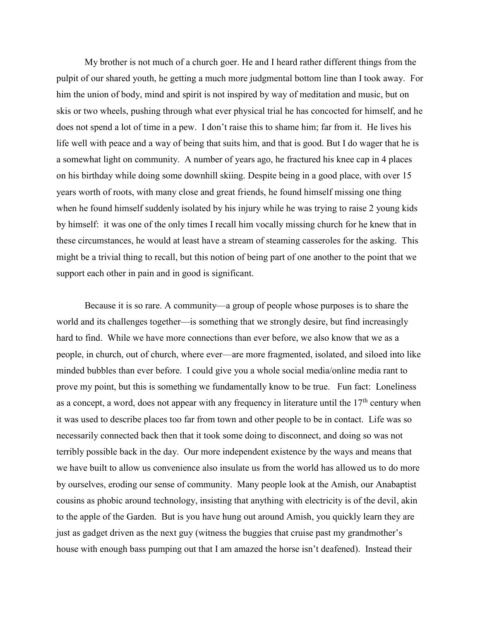My brother is not much of a church goer. He and I heard rather different things from the pulpit of our shared youth, he getting a much more judgmental bottom line than I took away. For him the union of body, mind and spirit is not inspired by way of meditation and music, but on skis or two wheels, pushing through what ever physical trial he has concocted for himself, and he does not spend a lot of time in a pew. I don't raise this to shame him; far from it. He lives his life well with peace and a way of being that suits him, and that is good. But I do wager that he is a somewhat light on community. A number of years ago, he fractured his knee cap in 4 places on his birthday while doing some downhill skiing. Despite being in a good place, with over 15 years worth of roots, with many close and great friends, he found himself missing one thing when he found himself suddenly isolated by his injury while he was trying to raise 2 young kids by himself: it was one of the only times I recall him vocally missing church for he knew that in these circumstances, he would at least have a stream of steaming casseroles for the asking. This might be a trivial thing to recall, but this notion of being part of one another to the point that we support each other in pain and in good is significant.

Because it is so rare. A community—a group of people whose purposes is to share the world and its challenges together—is something that we strongly desire, but find increasingly hard to find. While we have more connections than ever before, we also know that we as a people, in church, out of church, where ever—are more fragmented, isolated, and siloed into like minded bubbles than ever before. I could give you a whole social media/online media rant to prove my point, but this is something we fundamentally know to be true. Fun fact: Loneliness as a concept, a word, does not appear with any frequency in literature until the  $17<sup>th</sup>$  century when it was used to describe places too far from town and other people to be in contact. Life was so necessarily connected back then that it took some doing to disconnect, and doing so was not terribly possible back in the day. Our more independent existence by the ways and means that we have built to allow us convenience also insulate us from the world has allowed us to do more by ourselves, eroding our sense of community. Many people look at the Amish, our Anabaptist cousins as phobic around technology, insisting that anything with electricity is of the devil, akin to the apple of the Garden. But is you have hung out around Amish, you quickly learn they are just as gadget driven as the next guy (witness the buggies that cruise past my grandmother's house with enough bass pumping out that I am amazed the horse isn't deafened). Instead their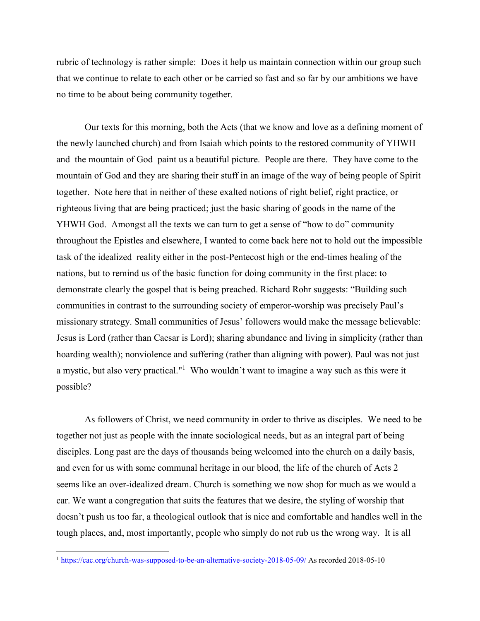rubric of technology is rather simple: Does it help us maintain connection within our group such that we continue to relate to each other or be carried so fast and so far by our ambitions we have no time to be about being community together.

Our texts for this morning, both the Acts (that we know and love as a defining moment of the newly launched church) and from Isaiah which points to the restored community of YHWH and the mountain of God paint us a beautiful picture. People are there. They have come to the mountain of God and they are sharing their stuff in an image of the way of being people of Spirit together. Note here that in neither of these exalted notions of right belief, right practice, or righteous living that are being practiced; just the basic sharing of goods in the name of the YHWH God. Amongst all the texts we can turn to get a sense of "how to do" community throughout the Epistles and elsewhere, I wanted to come back here not to hold out the impossible task of the idealized reality either in the post-Pentecost high or the end-times healing of the nations, but to remind us of the basic function for doing community in the first place: to demonstrate clearly the gospel that is being preached. Richard Rohr suggests: "Building such communities in contrast to the surrounding society of emperor-worship was precisely Paul's missionary strategy. Small communities of Jesus' followers would make the message believable: Jesus is Lord (rather than Caesar is Lord); sharing abundance and living in simplicity (rather than hoarding wealth); nonviolence and suffering (rather than aligning with power). Paul was not just a mystic, but also very practical."<sup>1</sup> Who wouldn't want to imagine a way such as this were it possible?

As followers of Christ, we need community in order to thrive as disciples. We need to be together not just as people with the innate sociological needs, but as an integral part of being disciples. Long past are the days of thousands being welcomed into the church on a daily basis, and even for us with some communal heritage in our blood, the life of the church of Acts 2 seems like an over-idealized dream. Church is something we now shop for much as we would a car. We want a congregation that suits the features that we desire, the styling of worship that doesn't push us too far, a theological outlook that is nice and comfortable and handles well in the tough places, and, most importantly, people who simply do not rub us the wrong way. It is all

 $\overline{a}$ 

<sup>1</sup> <https://cac.org/church-was-supposed-to-be-an-alternative-society-2018-05-09/> As recorded 2018-05-10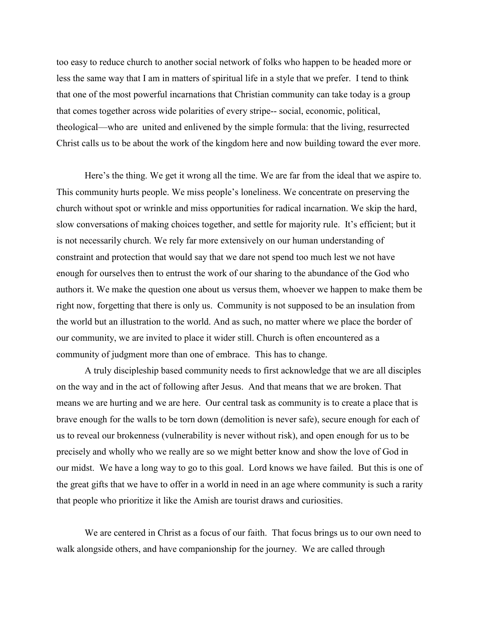too easy to reduce church to another social network of folks who happen to be headed more or less the same way that I am in matters of spiritual life in a style that we prefer. I tend to think that one of the most powerful incarnations that Christian community can take today is a group that comes together across wide polarities of every stripe-- social, economic, political, theological—who are united and enlivened by the simple formula: that the living, resurrected Christ calls us to be about the work of the kingdom here and now building toward the ever more.

Here's the thing. We get it wrong all the time. We are far from the ideal that we aspire to. This community hurts people. We miss people's loneliness. We concentrate on preserving the church without spot or wrinkle and miss opportunities for radical incarnation. We skip the hard, slow conversations of making choices together, and settle for majority rule. It's efficient; but it is not necessarily church. We rely far more extensively on our human understanding of constraint and protection that would say that we dare not spend too much lest we not have enough for ourselves then to entrust the work of our sharing to the abundance of the God who authors it. We make the question one about us versus them, whoever we happen to make them be right now, forgetting that there is only us. Community is not supposed to be an insulation from the world but an illustration to the world. And as such, no matter where we place the border of our community, we are invited to place it wider still. Church is often encountered as a community of judgment more than one of embrace. This has to change.

A truly discipleship based community needs to first acknowledge that we are all disciples on the way and in the act of following after Jesus. And that means that we are broken. That means we are hurting and we are here. Our central task as community is to create a place that is brave enough for the walls to be torn down (demolition is never safe), secure enough for each of us to reveal our brokenness (vulnerability is never without risk), and open enough for us to be precisely and wholly who we really are so we might better know and show the love of God in our midst. We have a long way to go to this goal. Lord knows we have failed. But this is one of the great gifts that we have to offer in a world in need in an age where community is such a rarity that people who prioritize it like the Amish are tourist draws and curiosities.

We are centered in Christ as a focus of our faith. That focus brings us to our own need to walk alongside others, and have companionship for the journey. We are called through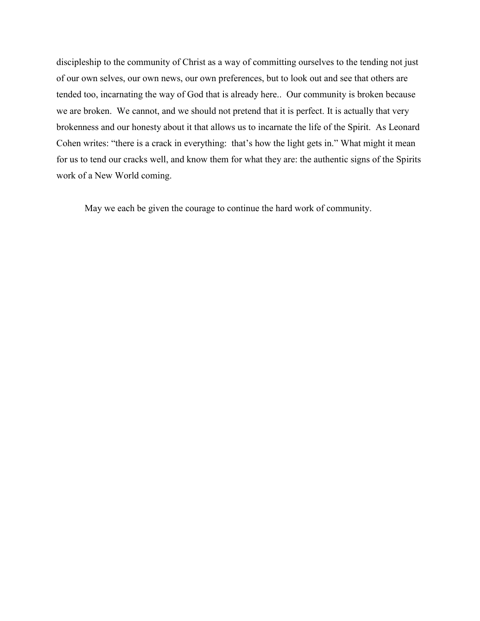discipleship to the community of Christ as a way of committing ourselves to the tending not just of our own selves, our own news, our own preferences, but to look out and see that others are tended too, incarnating the way of God that is already here.. Our community is broken because we are broken. We cannot, and we should not pretend that it is perfect. It is actually that very brokenness and our honesty about it that allows us to incarnate the life of the Spirit. As Leonard Cohen writes: "there is a crack in everything: that's how the light gets in." What might it mean for us to tend our cracks well, and know them for what they are: the authentic signs of the Spirits work of a New World coming.

May we each be given the courage to continue the hard work of community.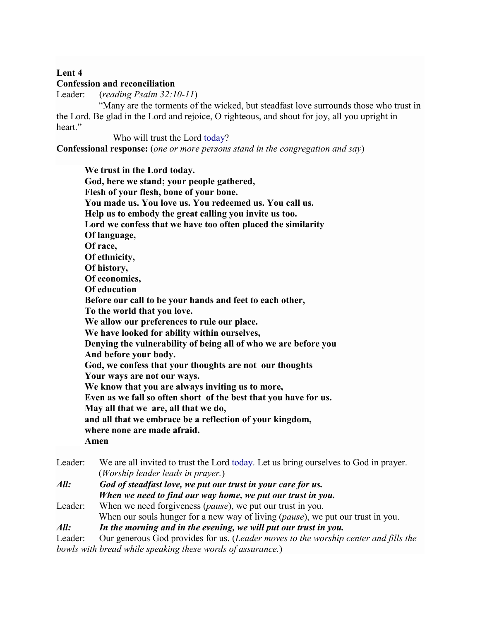## **Lent 4**

## **Confession and reconciliation**

Leader: (*reading Psalm 32:10-11*)

 "Many are the torments of the wicked, but steadfast love surrounds those who trust in the Lord. Be glad in the Lord and rejoice, O righteous, and shout for joy, all you upright in heart."

 Who will trust the Lord today? **Confessional response:** (*one or more persons stand in the congregation and say*)

**We trust in the Lord today. God, here we stand; your people gathered, Flesh of your flesh, bone of your bone. You made us. You love us. You redeemed us. You call us. Help us to embody the great calling you invite us too. Lord we confess that we have too often placed the similarity Of language, Of race, Of ethnicity, Of history, Of economics, Of education Before our call to be your hands and feet to each other, To the world that you love. We allow our preferences to rule our place. We have looked for ability within ourselves, Denying the vulnerability of being all of who we are before you And before your body. God, we confess that your thoughts are not our thoughts Your ways are not our ways. We know that you are always inviting us to more, Even as we fall so often short of the best that you have for us. May all that we are, all that we do, and all that we embrace be a reflection of your kingdom, where none are made afraid. Amen**

Leader: We are all invited to trust the Lord today. Let us bring ourselves to God in prayer. (*Worship leader leads in prayer.*)

*All: God of steadfast love, we put our trust in your care for us. When we need to find our way home, we put our trust in you.*

Leader: When we need forgiveness (*pause*), we put our trust in you. When our souls hunger for a new way of living (*pause*), we put our trust in you. *All: In the morning and in the evening, we will put our trust in you.*

Leader: Our generous God provides for us. (*Leader moves to the worship center and fills the bowls with bread while speaking these words of assurance.*)